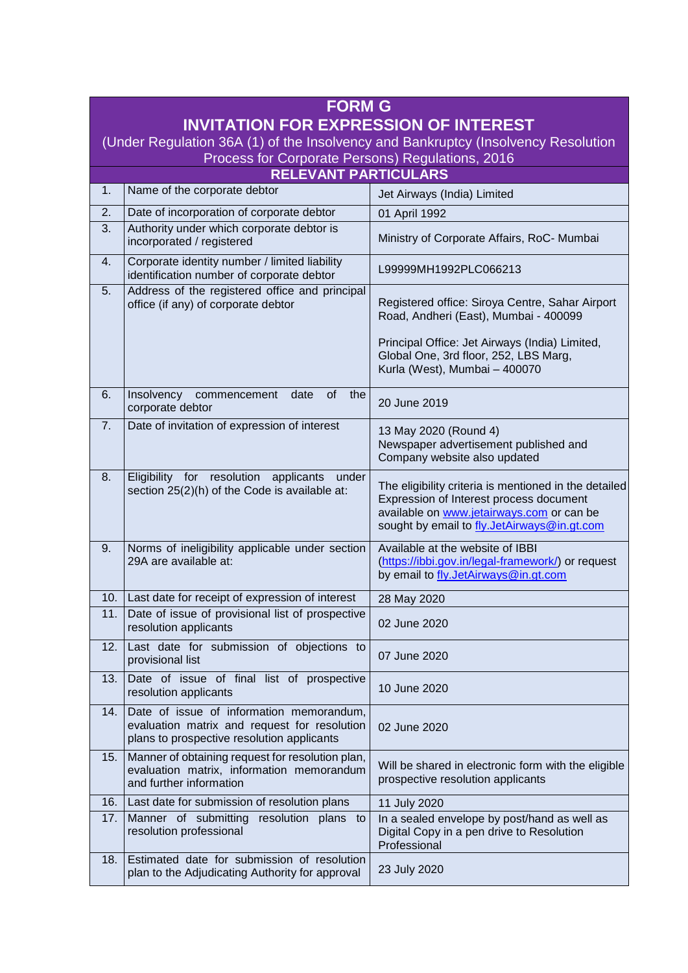| <b>FORM G</b>                                                                                                                         |                                                                                                                                        |                                                                                                                                                                                              |
|---------------------------------------------------------------------------------------------------------------------------------------|----------------------------------------------------------------------------------------------------------------------------------------|----------------------------------------------------------------------------------------------------------------------------------------------------------------------------------------------|
| <b>INVITATION FOR EXPRESSION OF INTEREST</b>                                                                                          |                                                                                                                                        |                                                                                                                                                                                              |
| (Under Regulation 36A (1) of the Insolvency and Bankruptcy (Insolvency Resolution<br>Process for Corporate Persons) Regulations, 2016 |                                                                                                                                        |                                                                                                                                                                                              |
| <b>RELEVANT PARTICULARS</b>                                                                                                           |                                                                                                                                        |                                                                                                                                                                                              |
| 1.                                                                                                                                    | Name of the corporate debtor                                                                                                           | Jet Airways (India) Limited                                                                                                                                                                  |
| 2.                                                                                                                                    | Date of incorporation of corporate debtor                                                                                              | 01 April 1992                                                                                                                                                                                |
| 3.                                                                                                                                    | Authority under which corporate debtor is<br>incorporated / registered                                                                 | Ministry of Corporate Affairs, RoC- Mumbai                                                                                                                                                   |
| 4.                                                                                                                                    | Corporate identity number / limited liability<br>identification number of corporate debtor                                             | L99999MH1992PLC066213                                                                                                                                                                        |
| 5.                                                                                                                                    | Address of the registered office and principal<br>office (if any) of corporate debtor                                                  | Registered office: Siroya Centre, Sahar Airport<br>Road, Andheri (East), Mumbai - 400099                                                                                                     |
|                                                                                                                                       |                                                                                                                                        | Principal Office: Jet Airways (India) Limited,<br>Global One, 3rd floor, 252, LBS Marg,<br>Kurla (West), Mumbai - 400070                                                                     |
| 6.                                                                                                                                    | of<br>Insolvency<br>date<br>the<br>commencement<br>corporate debtor                                                                    | 20 June 2019                                                                                                                                                                                 |
| 7.                                                                                                                                    | Date of invitation of expression of interest                                                                                           | 13 May 2020 (Round 4)<br>Newspaper advertisement published and<br>Company website also updated                                                                                               |
| 8.                                                                                                                                    | Eligibility for resolution<br>applicants<br>under<br>section 25(2)(h) of the Code is available at:                                     | The eligibility criteria is mentioned in the detailed<br>Expression of Interest process document<br>available on www.jetairways.com or can be<br>sought by email to fly.JetAirways@in.gt.com |
| 9.                                                                                                                                    | Norms of ineligibility applicable under section<br>29A are available at:                                                               | Available at the website of IBBI<br>(https://ibbi.gov.in/legal-framework/) or request<br>by email to fly.JetAirways@in.gt.com                                                                |
| 10.                                                                                                                                   | Last date for receipt of expression of interest                                                                                        | 28 May 2020                                                                                                                                                                                  |
| 11.                                                                                                                                   | Date of issue of provisional list of prospective<br>resolution applicants                                                              | 02 June 2020                                                                                                                                                                                 |
| 12.                                                                                                                                   | Last date for submission of objections to<br>provisional list                                                                          | 07 June 2020                                                                                                                                                                                 |
| 13.                                                                                                                                   | Date of issue of final list of prospective<br>resolution applicants                                                                    | 10 June 2020                                                                                                                                                                                 |
| 14.                                                                                                                                   | Date of issue of information memorandum,<br>evaluation matrix and request for resolution<br>plans to prospective resolution applicants | 02 June 2020                                                                                                                                                                                 |
| 15.                                                                                                                                   | Manner of obtaining request for resolution plan,<br>evaluation matrix, information memorandum<br>and further information               | Will be shared in electronic form with the eligible<br>prospective resolution applicants                                                                                                     |
| 16.                                                                                                                                   | Last date for submission of resolution plans                                                                                           | 11 July 2020                                                                                                                                                                                 |
| 17.                                                                                                                                   | Manner of submitting resolution plans<br>to<br>resolution professional                                                                 | In a sealed envelope by post/hand as well as<br>Digital Copy in a pen drive to Resolution<br>Professional                                                                                    |
| 18.                                                                                                                                   | Estimated date for submission of resolution<br>plan to the Adjudicating Authority for approval                                         | 23 July 2020                                                                                                                                                                                 |